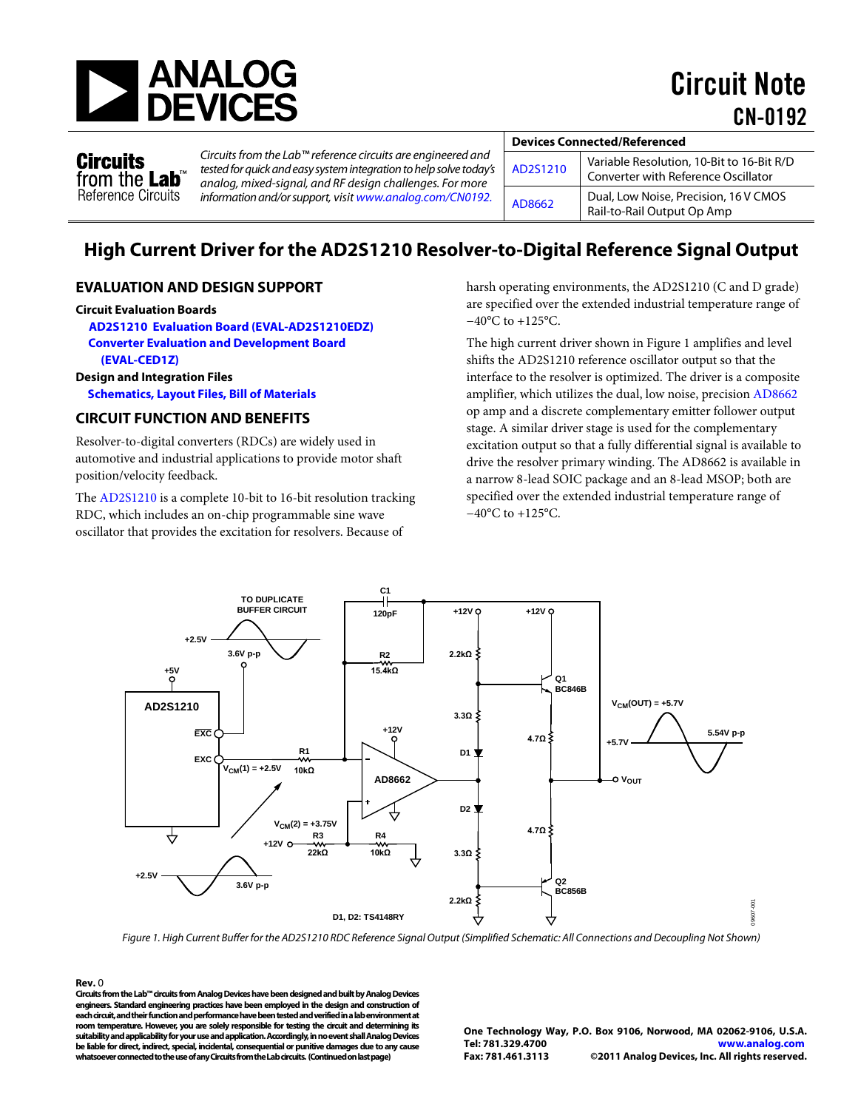

Circuit Note CN-0192

**Circuits** from the Lab<sup>®</sup> Reference Circuits

*Circuits from the Lab™ reference circuits are engineered and tested for quick and easy system integration to help solve today's analog, mixed-signal, and RF design challenges. For more information and/or support, visit [www.analog.com/CN0192.](http://www.analog.com/CN0192)*

| <b>Devices Connected/Referenced</b> |                                                                                  |
|-------------------------------------|----------------------------------------------------------------------------------|
| AD2S1210                            | Variable Resolution, 10-Bit to 16-Bit R/D<br>Converter with Reference Oscillator |
| AD8662                              | Dual, Low Noise, Precision, 16 V CMOS<br>Rail-to-Rail Output Op Amp              |

# **High Current Driver for the AD2S1210 Resolver-to-Digital Reference Signal Output**

#### **EVALUATION AND DESIGN SUPPORT**

#### **Circuit Evaluation Boards**

**[AD2S1210 Evaluation Board](http://www.analog.com/AD2S1210) (EVAL-AD2S1210EDZ) [Converter Evaluation and Development Board](http://www.analog.com/EVAL-CED1Z)  [\(EVAL-CED1Z\)](http://www.analog.com/EVAL-CED1Z)**

#### **Design and Integration Files**

**[Schematics, Layout Files, Bill of Materials](http://www.analog.com/CN0192-DesignSupport)**

#### **CIRCUIT FUNCTION AND BENEFITS**

Resolver-to-digital converters (RDCs) are widely used in automotive and industrial applications to provide motor shaft position/velocity feedback.

The [AD2S1210](http://www.analog.com/AD2S1210) is a complete 10-bit to 16-bit resolution tracking RDC, which includes an on-chip programmable sine wave oscillator that provides the excitation for resolvers. Because of

harsh operating environments, the AD2S1210 (C and D grade) are specified over the extended industrial temperature range of −40°C to +125°C.

The high current driver shown in Figure 1 amplifies and level shifts the AD2S1210 reference oscillator output so that the interface to the resolver is optimized. The driver is a composite amplifier, which utilizes the dual, low noise, precision [AD8662](http://www.analog.com/AD8662) op amp and a discrete complementary emitter follower output stage. A similar driver stage is used for the complementary excitation output so that a fully differential signal is available to drive the resolver primary winding. The AD8662 is available in a narrow 8-lead SOIC package and an 8-lead MSOP; both are specified over the extended industrial temperature range of −40°C to +125°C.



*Figure 1. High Current Buffer for the AD2S1210 RDC Reference Signal Output (Simplified Schematic: All Connections and Decoupling Not Shown)*

**Rev.** 0 **Circuits from the Lab™ circuits from Analog Devices have been designed and built by Analog Devices engineers. Standard engineering practices have been employed in the design and construction of each circuit, and their function and performance have been tested and verified in a lab environment at room temperature. However, you are solely responsible for testing the circuit and determining its suitability and applicability for your use and application. Accordingly, in no event shall Analog Devices be liable for direct, indirect, special, incidental, consequential or punitive damages due to any cause whatsoever connected to the use of any Circuits from the Lab circuits. (Continued on last page)**

**One Technology Way, P.O. Box 9106, Norwood, MA 02062-9106, U.S.A. Tel: 781.329.4700 [www.analog.com](http://www.analog.com/)**  ©2011 Analog Devices, Inc. All rights reserved.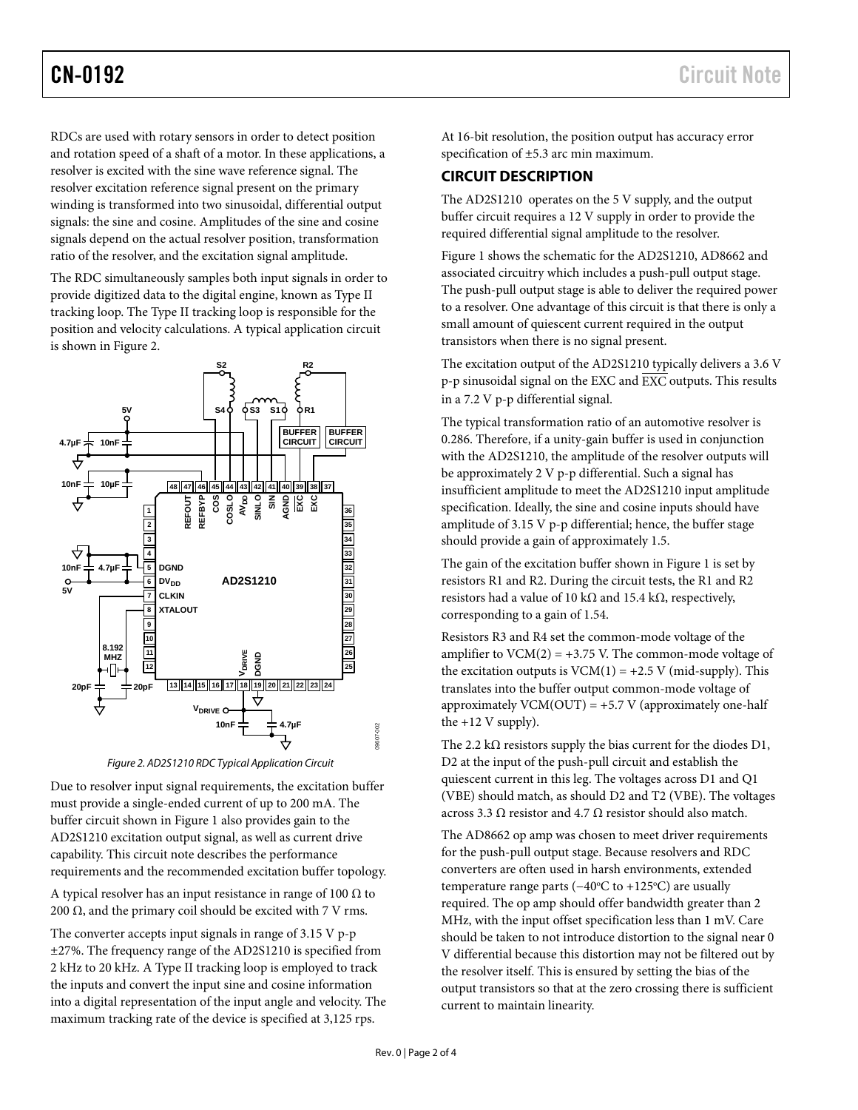RDCs are used with rotary sensors in order to detect position and rotation speed of a shaft of a motor. In these applications, a resolver is excited with the sine wave reference signal. The resolver excitation reference signal present on the primary winding is transformed into two sinusoidal, differential output signals: the sine and cosine. Amplitudes of the sine and cosine signals depend on the actual resolver position, transformation ratio of the resolver, and the excitation signal amplitude.

The RDC simultaneously samples both input signals in order to provide digitized data to the digital engine, known as Type II tracking loop. The Type II tracking loop is responsible for the position and velocity calculations. A typical application circuit is shown in Figure 2.



*Figure 2. AD2S1210 RDC Typical Application Circuit* 

Due to resolver input signal requirements, the excitation buffer must provide a single-ended current of up to 200 mA. The buffer circuit shown in Figure 1 also provides gain to the AD2S1210 excitation output signal, as well as current drive capability. This circuit note describes the performance requirements and the recommended excitation buffer topology.

A typical resolver has an input resistance in range of 100  $\Omega$  to 200 Ω, and the primary coil should be excited with  $7$  V rms.

The converter accepts input signals in range of 3.15 V p-p ±27%. The frequency range of the AD2S1210 is specified from 2 kHz to 20 kHz. A Type II tracking loop is employed to track the inputs and convert the input sine and cosine information into a digital representation of the input angle and velocity. The maximum tracking rate of the device is specified at 3,125 rps.

At 16-bit resolution, the position output has accuracy error specification of ±5.3 arc min maximum.

## **CIRCUIT DESCRIPTION**

The AD2S1210 operates on the 5 V supply, and the output buffer circuit requires a 12 V supply in order to provide the required differential signal amplitude to the resolver.

Figure 1 shows the schematic for the AD2S1210, AD8662 and associated circuitry which includes a push-pull output stage. The push-pull output stage is able to deliver the required power to a resolver. One advantage of this circuit is that there is only a small amount of quiescent current required in the output transistors when there is no signal present.

The excitation output of the AD2S1210 typically delivers a 3.6 V p-p sinusoidal signal on the EXC and EXC outputs. This results in a 7.2 V p-p differential signal.

The typical transformation ratio of an automotive resolver is 0.286. Therefore, if a unity-gain buffer is used in conjunction with the AD2S1210, the amplitude of the resolver outputs will be approximately 2 V p-p differential. Such a signal has insufficient amplitude to meet the AD2S1210 input amplitude specification. Ideally, the sine and cosine inputs should have amplitude of 3.15 V p-p differential; hence, the buffer stage should provide a gain of approximately 1.5.

The gain of the excitation buffer shown in Figure 1 is set by resistors R1 and R2. During the circuit tests, the R1 and R2 resistors had a value of 10 kΩ and 15.4 kΩ, respectively, corresponding to a gain of 1.54.

Resistors R3 and R4 set the common-mode voltage of the amplifier to  $VCM(2) = +3.75$  V. The common-mode voltage of the excitation outputs is  $VCM(1) = +2.5 V$  (mid-supply). This translates into the buffer output common-mode voltage of approximately  $VCM(OUT) = +5.7 V$  (approximately one-half the  $+12$  V supply).

The 2.2 k $\Omega$  resistors supply the bias current for the diodes D1, D2 at the input of the push-pull circuit and establish the quiescent current in this leg. The voltages across D1 and Q1 (VBE) should match, as should D2 and T2 (VBE). The voltages across 3.3 Ω resistor and 4.7 Ω resistor should also match.

The AD8662 op amp was chosen to meet driver requirements for the push-pull output stage. Because resolvers and RDC converters are often used in harsh environments, extended temperature range parts (−40°C to +125°C) are usually required. The op amp should offer bandwidth greater than 2 MHz, with the input offset specification less than 1 mV. Care should be taken to not introduce distortion to the signal near 0 V differential because this distortion may not be filtered out by the resolver itself. This is ensured by setting the bias of the output transistors so that at the zero crossing there is sufficient current to maintain linearity.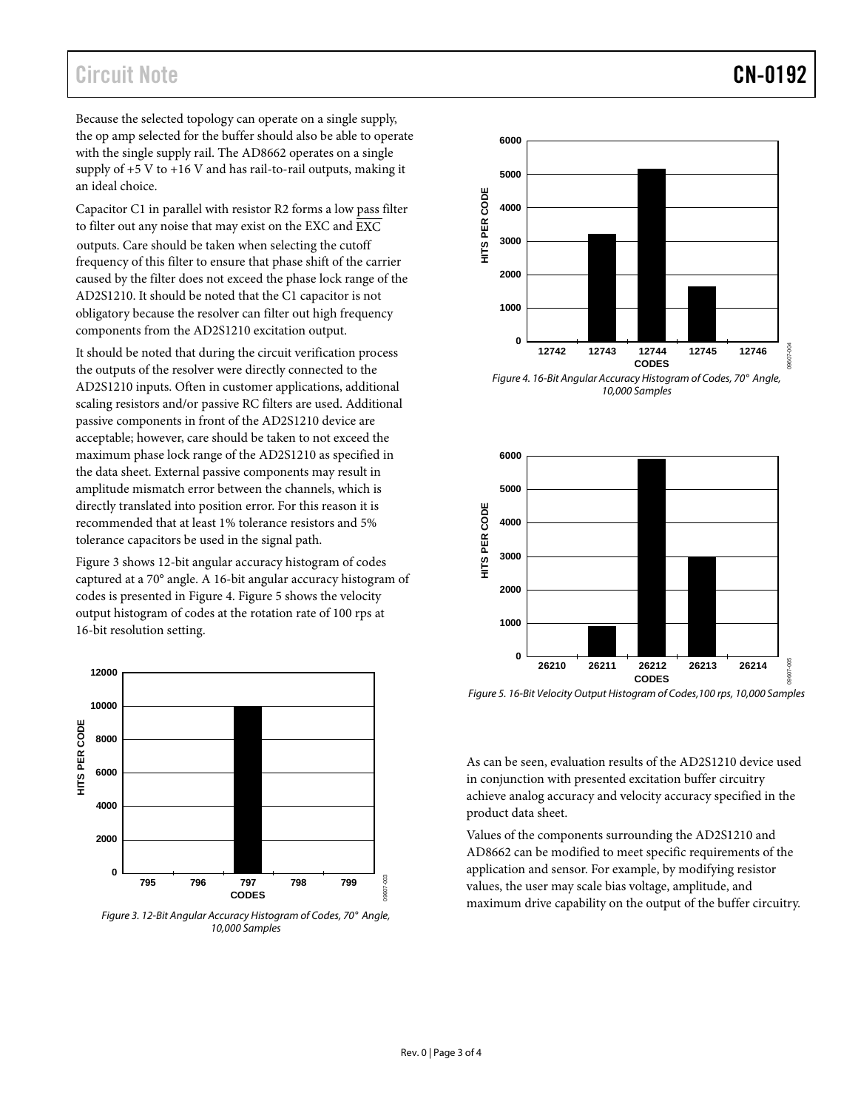# Circuit Note **CN-0192**

Because the selected topology can operate on a single supply, the op amp selected for the buffer should also be able to operate with the single supply rail. The AD8662 operates on a single supply of  $+5$  V to  $+16$  V and has rail-to-rail outputs, making it an ideal choice.

Capacitor C1 in parallel with resistor R2 forms a low pass filter to filter out any noise that may exist on the EXC and EXC outputs. Care should be taken when selecting the cutoff frequency of this filter to ensure that phase shift of the carrier caused by the filter does not exceed the phase lock range of the AD2S1210. It should be noted that the C1 capacitor is not obligatory because the resolver can filter out high frequency components from the AD2S1210 excitation output.

It should be noted that during the circuit verification process the outputs of the resolver were directly connected to the AD2S1210 inputs. Often in customer applications, additional scaling resistors and/or passive RC filters are used. Additional passive components in front of the AD2S1210 device are acceptable; however, care should be taken to not exceed the maximum phase lock range of the AD2S1210 as specified in the data sheet. External passive components may result in amplitude mismatch error between the channels, which is directly translated into position error. For this reason it is recommended that at least 1% tolerance resistors and 5% tolerance capacitors be used in the signal path.

Figure 3 shows 12-bit angular accuracy histogram of codes captured at a 70° angle. A 16-bit angular accuracy histogram of codes is presented in Figure 4. Figure 5 shows the velocity output histogram of codes at the rotation rate of 100 rps at 16-bit resolution setting.



*Figure 3. 12-Bit Angular Accuracy Histogram of Codes, 70° Angle, 10,000 Samples*



*Figure 4. 16-Bit Angular Accuracy Histogram of Codes, 70° Angle, 10,000 Samples*



*Figure 5. 16-Bit Velocity Output Histogram of Codes,100 rps, 10,000 Samples*

As can be seen, evaluation results of the AD2S1210 device used in conjunction with presented excitation buffer circuitry achieve analog accuracy and velocity accuracy specified in the product data sheet.

Values of the components surrounding the AD2S1210 and AD8662 can be modified to meet specific requirements of the application and sensor. For example, by modifying resistor values, the user may scale bias voltage, amplitude, and maximum drive capability on the output of the buffer circuitry.